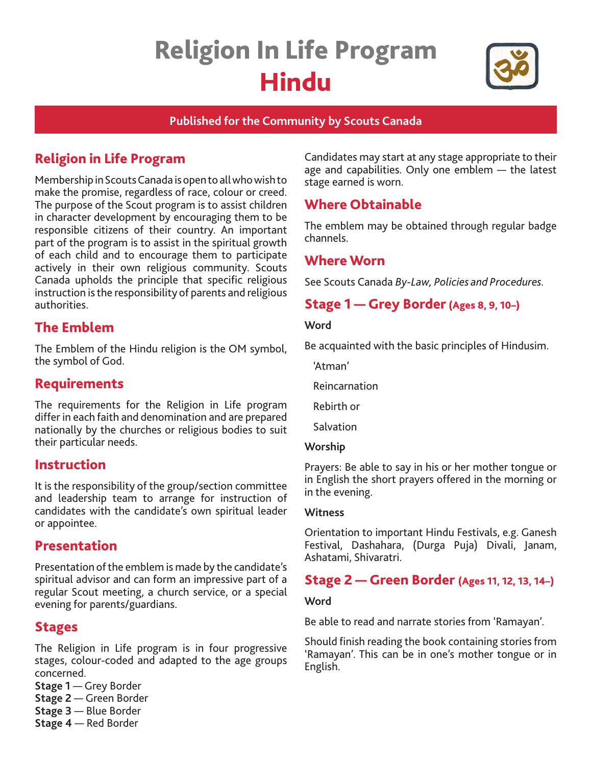# Religion In Life Program Hindu



## **Published for the Community by Scouts Canada**

# Religion in Life Program

Membership in Scouts Canada is open to all who wish to make the promise, regardless of race, colour or creed. The purpose of the Scout program is to assist children in character development by encouraging them to be responsible citizens of their country. An important part of the program is to assist in the spiritual growth of each child and to encourage them to participate actively in their own religious community. Scouts Canada upholds the principle that specific religious instruction is the responsibility of parents and religious authorities.

# The Emblem

The Emblem of the Hindu religion is the OM symbol, the symbol of God.

# Requirements

The requirements for the Religion in Life program differ in each faith and denomination and are prepared nationally by the churches or religious bodies to suit their particular needs.

## Instruction

It is the responsibility of the group/section committee and leadership team to arrange for instruction of candidates with the candidate's own spiritual leader or appointee.

## Presentation

Presentation of the emblem is made by the candidate's spiritual advisor and can form an impressive part of a regular Scout meeting, a church service, or a special evening for parents/guardians.

## Stages

The Religion in Life program is in four progressive stages, colour-coded and adapted to the age groups concerned.

- **Stage 1** Grey Border
- **Stage 2**  Green Border
- **Stage 3** Blue Border
- **Stage 4** Red Border

Candidates may start at any stage appropriate to their age and capabilities. Only one emblem — the latest stage earned is worn.

# Where Obtainable

The emblem may be obtained through regular badge channels.

## Where Worn

See Scouts Canada *By-Law, Policies and Procedures.* 

# Stage 1 — Grey Border(Ages 8, 9, 10–)

#### **Word**

Be acquainted with the basic principles of Hindusim.

'Atman'

Reincarnation

Rebirth or

Salvation

#### **Worship**

Prayers: Be able to say in his or her mother tongue or in English the short prayers offered in the morning or in the evening.

#### **Witness**

Orientation to important Hindu Festivals, e.g. Ganesh Festival, Dashahara, (Durga Puja) Divali, Janam, Ashatami, Shivaratri.

## Stage 2 — Green Border (Ages 11, 12, 13, 14–)

#### **Word**

Be able to read and narrate stories from 'Ramayan'.

Should finish reading the book containing stories from 'Ramayan'. This can be in one's mother tongue or in English.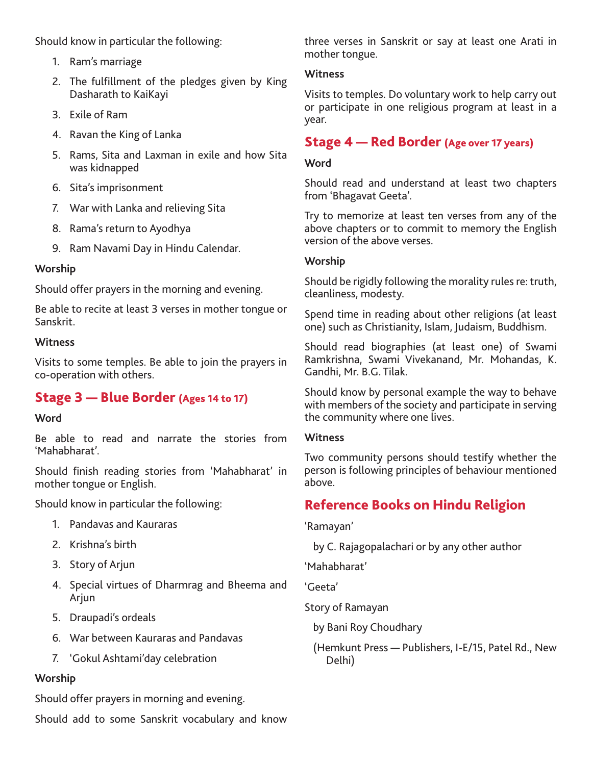Should know in particular the following:

- 1. Ram's marriage
- 2. The fulfillment of the pledges given by King Dasharath to KaiKayi
- 3. Exile of Ram
- 4. Ravan the King of Lanka
- 5. Rams, Sita and Laxman in exile and how Sita was kidnapped
- 6. Sita's imprisonment
- 7. War with Lanka and relieving Sita
- 8. Rama's return to Ayodhya
- 9. Ram Navami Day in Hindu Calendar.

#### **Worship**

Should offer prayers in the morning and evening.

Be able to recite at least 3 verses in mother tongue or Sanskrit.

#### **Witness**

Visits to some temples. Be able to join the prayers in co-operation with others.

# Stage 3 — Blue Border (Ages 14 to 17)

#### **Word**

Be able to read and narrate the stories from 'Mahabharat'.

Should finish reading stories from 'Mahabharat' in mother tongue or English.

Should know in particular the following:

- 1. Pandavas and Kauraras
- 2. Krishna's birth
- 3. Story of Arjun
- 4. Special virtues of Dharmrag and Bheema and Arjun
- 5. Draupadi's ordeals
- 6. War between Kauraras and Pandavas
- 7. 'Gokul Ashtami'day celebration

#### **Worship**

Should offer prayers in morning and evening.

Should add to some Sanskrit vocabulary and know

three verses in Sanskrit or say at least one Arati in mother tongue.

#### **Witness**

Visits to temples. Do voluntary work to help carry out or participate in one religious program at least in a year.

## Stage 4 — Red Border (Age over 17 years)

#### **Word**

Should read and understand at least two chapters from 'Bhagavat Geeta'.

Try to memorize at least ten verses from any of the above chapters or to commit to memory the English version of the above verses.

#### **Worship**

Should be rigidly following the morality rules re: truth, cleanliness, modesty.

Spend time in reading about other religions (at least one) such as Christianity, Islam, Judaism, Buddhism.

Should read biographies (at least one) of Swami Ramkrishna, Swami Vivekanand, Mr. Mohandas, K. Gandhi, Mr. B.G. Tilak.

Should know by personal example the way to behave with members of the society and participate in serving the community where one lives.

#### **Witness**

Two community persons should testify whether the person is following principles of behaviour mentioned above.

# Reference Books on Hindu Religion

'Ramayan'

by C. Rajagopalachari or by any other author

'Mahabharat'

'Geeta'

Story of Ramayan

by Bani Roy Choudhary

(Hemkunt Press — Publishers, I-E/15, Patel Rd., New Delhi)